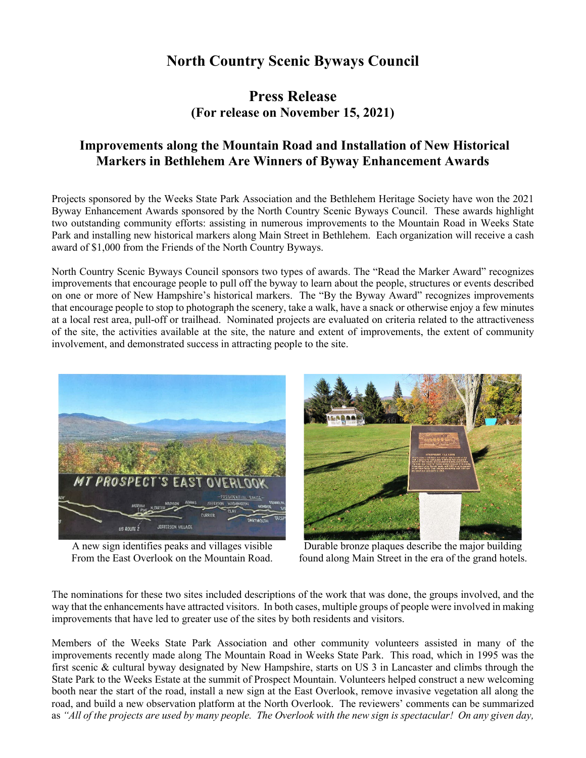## **North Country Scenic Byways Council**

## **Press Release (For release on November 15, 2021)**

## **Improvements along the Mountain Road and Installation of New Historical Markers in Bethlehem Are Winners of Byway Enhancement Awards**

Projects sponsored by the Weeks State Park Association and the Bethlehem Heritage Society have won the 2021 Byway Enhancement Awards sponsored by the North Country Scenic Byways Council. These awards highlight two outstanding community efforts: assisting in numerous improvements to the Mountain Road in Weeks State Park and installing new historical markers along Main Street in Bethlehem. Each organization will receive a cash award of \$1,000 from the Friends of the North Country Byways.

North Country Scenic Byways Council sponsors two types of awards. The "Read the Marker Award" recognizes improvements that encourage people to pull off the byway to learn about the people, structures or events described on one or more of New Hampshire's historical markers. The "By the Byway Award" recognizes improvements that encourage people to stop to photograph the scenery, take a walk, have a snack or otherwise enjoy a few minutes at a local rest area, pull-off or trailhead. Nominated projects are evaluated on criteria related to the attractiveness of the site, the activities available at the site, the nature and extent of improvements, the extent of community involvement, and demonstrated success in attracting people to the site.



A new sign identifies peaks and villages visible From the East Overlook on the Mountain Road.



Durable bronze plaques describe the major building found along Main Street in the era of the grand hotels.

The nominations for these two sites included descriptions of the work that was done, the groups involved, and the way that the enhancements have attracted visitors. In both cases, multiple groups of people were involved in making improvements that have led to greater use of the sites by both residents and visitors.

Members of the Weeks State Park Association and other community volunteers assisted in many of the improvements recently made along The Mountain Road in Weeks State Park. This road, which in 1995 was the first scenic & cultural byway designated by New Hampshire, starts on US 3 in Lancaster and climbs through the State Park to the Weeks Estate at the summit of Prospect Mountain. Volunteers helped construct a new welcoming booth near the start of the road, install a new sign at the East Overlook, remove invasive vegetation all along the road, and build a new observation platform at the North Overlook. The reviewers' comments can be summarized as *"All of the projects are used by many people. The Overlook with the new sign is spectacular! On any given day,*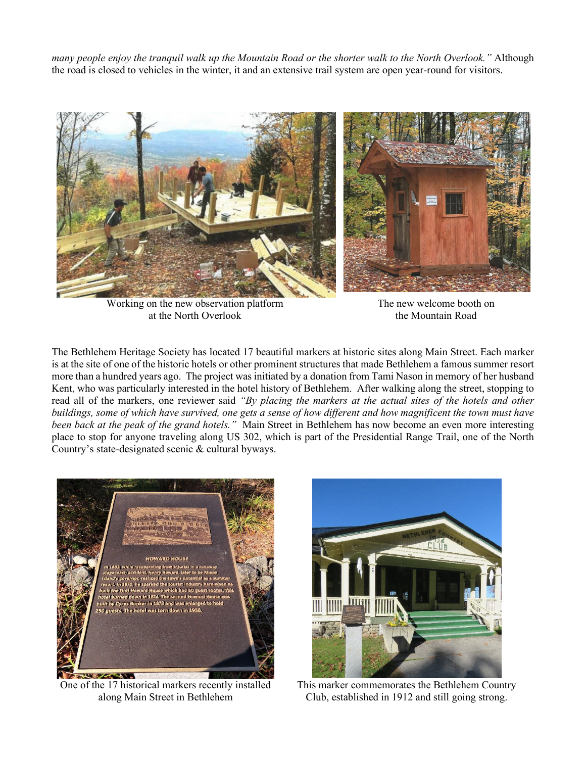*many people enjoy the tranquil walk up the Mountain Road or the shorter walk to the North Overlook."* Although the road is closed to vehicles in the winter, it and an extensive trail system are open year-round for visitors.



Working on the new observation platform at the North Overlook

The new welcome booth on the Mountain Road

The Bethlehem Heritage Society has located 17 beautiful markers at historic sites along Main Street. Each marker is at the site of one of the historic hotels or other prominent structures that made Bethlehem a famous summer resort more than a hundred years ago. The project was initiated by a donation from Tami Nason in memory of her husband Kent, who was particularly interested in the hotel history of Bethlehem. After walking along the street, stopping to read all of the markers, one reviewer said *"By placing the markers at the actual sites of the hotels and other buildings, some of which have survived, one gets a sense of how different and how magnificent the town must have been back at the peak of the grand hotels."* Main Street in Bethlehem has now become an even more interesting place to stop for anyone traveling along US 302, which is part of the Presidential Range Trail, one of the North Country's state-designated scenic & cultural byways.



One of the 17 historical markers recently installed along Main Street in Bethlehem



This marker commemorates the Bethlehem Country Club, established in 1912 and still going strong.